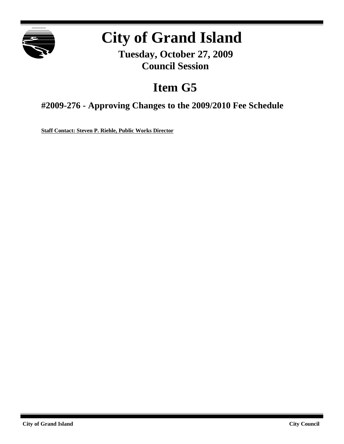

# **City of Grand Island**

**Tuesday, October 27, 2009 Council Session**

## **Item G5**

**#2009-276 - Approving Changes to the 2009/2010 Fee Schedule**

**Staff Contact: Steven P. Riehle, Public Works Director**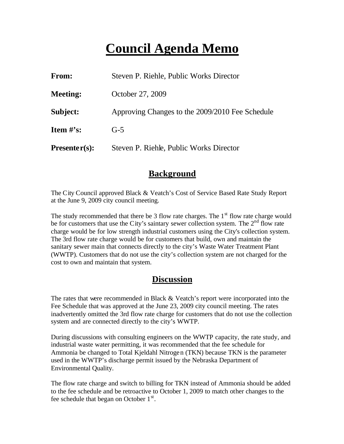### **Council Agenda Memo**

| From:           | Steven P. Riehle, Public Works Director         |
|-----------------|-------------------------------------------------|
| <b>Meeting:</b> | October 27, 2009                                |
| Subject:        | Approving Changes to the 2009/2010 Fee Schedule |
| Item $#$ 's:    | $G-5$                                           |
| $Presenter(s):$ | Steven P. Riehle, Public Works Director         |

#### **Background**

The City Council approved Black & Veatch's Cost of Service Based Rate Study Report at the June 9, 2009 city council meeting.

The study recommended that there be 3 flow rate charges. The  $1<sup>st</sup>$  flow rate charge would be for customers that use the City's saintary sewer collection system. The  $2<sup>nd</sup>$  flow rate charge would be for low strength industrial customers using the City's collection system. The 3rd flow rate charge would be for customers that build, own and maintain the sanitary sewer main that connects directly to the city's Waste Water Treatment Plant (WWTP). Customers that do not use the city's collection system are not charged for the cost to own and maintain that system.

#### **Discussion**

The rates that were recommended in Black & Veatch's report were incorporated into the Fee Schedule that was approved at the June 23, 2009 city council meeting. The rates inadvertently omitted the 3rd flow rate charge for customers that do not use the collection system and are connected directly to the city's WWTP.

During discussions with consulting engineers on the WWTP capacity, the rate study, and industrial waste water permitting, it was recommended that the fee schedule for Ammonia be changed to Total Kjeldahl Nitrogen (TKN) because TKN is the parameter used in the WWTP's discharge permit issued by the Nebraska Department of Environmental Quality.

The flow rate charge and switch to billing for TKN instead of Ammonia should be added to the fee schedule and be retroactive to October 1, 2009 to match other changes to the fee schedule that began on October  $1<sup>st</sup>$ .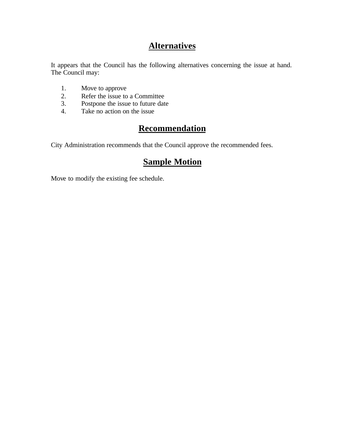#### **Alternatives**

It appears that the Council has the following alternatives concerning the issue at hand. The Council may:

- 1. Move to approve
- 2. Refer the issue to a Committee<br>3. Postpone the issue to future date
- Postpone the issue to future date
- 4. Take no action on the issue

### **Recommendation**

City Administration recommends that the Council approve the recommended fees.

### **Sample Motion**

Move to modify the existing fee schedule.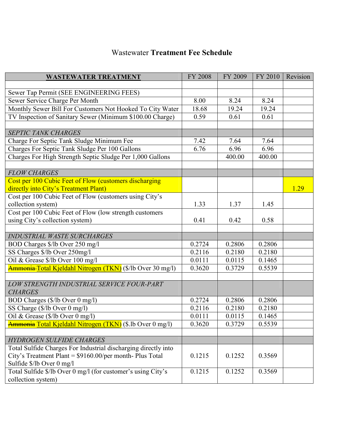#### Wastewater **Treatment Fee Schedule**

| <b>WASTEWATER TREATMENT</b>                                    | <b>FY 2008</b> | FY 2009 | FY 2010 | Revision |
|----------------------------------------------------------------|----------------|---------|---------|----------|
|                                                                |                |         |         |          |
| Sewer Tap Permit (SEE ENGINEERING FEES)                        |                |         |         |          |
| Sewer Service Charge Per Month                                 | 8.00           | 8.24    | 8.24    |          |
| Monthly Sewer Bill For Customers Not Hooked To City Water      | 18.68          | 19.24   | 19.24   |          |
| TV Inspection of Sanitary Sewer (Minimum \$100.00 Charge)      | 0.59           | 0.61    | 0.61    |          |
|                                                                |                |         |         |          |
| <b>SEPTIC TANK CHARGES</b>                                     |                |         |         |          |
| Charge For Septic Tank Sludge Minimum Fee                      | 7.42           | 7.64    | 7.64    |          |
| Charges For Septic Tank Sludge Per 100 Gallons                 | 6.76           | 6.96    | 6.96    |          |
| Charges For High Strength Septic Sludge Per 1,000 Gallons      |                | 400.00  | 400.00  |          |
|                                                                |                |         |         |          |
| <b>FLOW CHARGES</b>                                            |                |         |         |          |
| Cost per 100 Cubic Feet of Flow (customers discharging         |                |         |         |          |
| directly into City's Treatment Plant)                          |                |         |         | 1.29     |
| Cost per 100 Cubic Feet of Flow (customers using City's        |                |         |         |          |
| collection system)                                             | 1.33           | 1.37    | 1.45    |          |
| Cost per 100 Cubic Feet of Flow (low strength customers        |                |         |         |          |
| using City's collection system)                                | 0.41           | 0.42    | 0.58    |          |
|                                                                |                |         |         |          |
| <b>INDUSTRIAL WASTE SURCHARGES</b>                             |                |         |         |          |
| BOD Charges \$/lb Over 250 mg/l                                | 0.2724         | 0.2806  | 0.2806  |          |
| SS Charges \$/lb Over 250mg/l                                  | 0.2116         | 0.2180  | 0.2180  |          |
| Oil & Grease \$/lb Over 100 mg/l                               | 0.0111         | 0.0115  | 0.1465  |          |
| Ammonia Total Kjeldahl Nitrogen (TKN) (\$/lb Over 30 mg/l)     | 0.3620         | 0.3729  | 0.5539  |          |
|                                                                |                |         |         |          |
| LOW STRENGTH INDUSTRIAL SERVICE FOUR-PART                      |                |         |         |          |
| <b>CHARGES</b>                                                 |                |         |         |          |
| BOD Charges (\$/lb Over 0 mg/l)                                | 0.2724         | 0.2806  | 0.2806  |          |
| SS Charge (\$/lb Over 0 mg/l)                                  | 0.2116         | 0.2180  | 0.2180  |          |
| Oil & Grease (\$/lb Over 0 mg/l)                               | 0.0111         | 0.0115  | 0.1465  |          |
| Ammonia Total Kjeldahl Nitrogen (TKN) (\$.lb Over 0 mg/l)      | 0.3620         | 0.3729  | 0.5539  |          |
|                                                                |                |         |         |          |
| <b>HYDROGEN SULFIDE CHARGES</b>                                |                |         |         |          |
| Total Sulfide Charges For Industrial discharging directly into |                |         |         |          |
| City's Treatment Plant = \$9160.00/per month- Plus Total       | 0.1215         | 0.1252  | 0.3569  |          |
| Sulfide \$/lb Over 0 mg/l                                      |                |         |         |          |
| Total Sulfide \$/lb Over 0 mg/l (for customer's using City's   | 0.1215         | 0.1252  | 0.3569  |          |
| collection system)                                             |                |         |         |          |